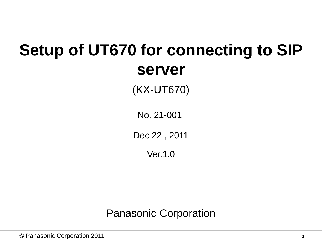# **Setup of UT670 for connecting to SIP server**

(KX-UT670)

No. 21-001

Dec 22 , 2011

Ver.1.0

Panasonic Corporation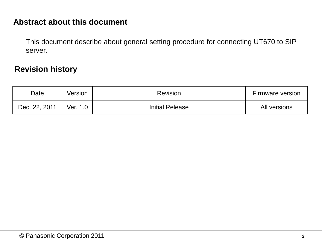#### **Abstract about this document**

This document describe about general setting procedure for connecting UT670 to SIP server.

#### **Revision history**

| Date          | Version  | <b>Revision</b>        | Firmware version |  |
|---------------|----------|------------------------|------------------|--|
| Dec. 22, 2011 | Ver. 1.0 | <b>Initial Release</b> | All versions     |  |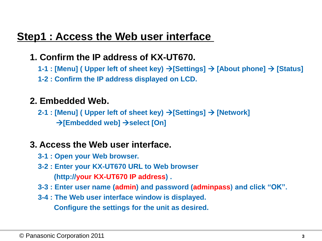## **Step1 : Access the Web user interface**

#### **1. Confirm the IP address of KX-UT670.**

- **1-1 : [Menu] ( Upper left of sheet key) [Settings] [About phone] [Status]**
- **1-2 : Confirm the IP address displayed on LCD.**

#### **2. Embedded Web.**

 **2-1 : [Menu] ( Upper left of sheet key) → [Settings] → [Network]**  $\rightarrow$  **[Embedded web]**  $\rightarrow$  **select [On]** 

#### **3. Access the Web user interface.**

- **3-1 : Open your Web browser.**
- **3-2 : Enter your KX-UT670 URL to Web browser (http://your KX-UT670 IP address) .**
- **3-3 : Enter user name (admin) and password (adminpass) and click "OK".**
- **3-4 : The Web user interface window is displayed.**

 **Configure the settings for the unit as desired.**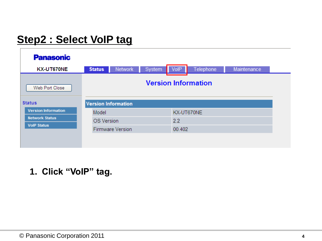## **Step2 : Select VoIP tag**

| <b>Panasonic</b>           |                            |            |             |           |             |  |
|----------------------------|----------------------------|------------|-------------|-----------|-------------|--|
| KX-UT670NE                 | Network<br><b>Status</b>   | System     | <b>VoIP</b> | Telephone | Maintenance |  |
| Web Port Close             | <b>Version Information</b> |            |             |           |             |  |
| <b>Status</b>              | <b>Version Information</b> |            |             |           |             |  |
| <b>Version Information</b> | Model                      | KX-UT670NE |             |           |             |  |
| <b>Network Status</b>      | <b>OS Version</b>          |            | 2.2         |           |             |  |
| <b>VolP Status</b>         | <b>Firmware Version</b>    |            | 00.402      |           |             |  |
|                            |                            |            |             |           |             |  |
|                            |                            |            |             |           |             |  |

#### **1. Click "VoIP" tag.**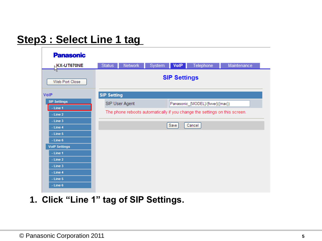## **Step3 : Select Line 1 tag**

| <b>Panasonic</b>                     |                     |                |        |      |                                                                            |             |
|--------------------------------------|---------------------|----------------|--------|------|----------------------------------------------------------------------------|-------------|
| <b>KX-UT670NE</b>                    | Status              | Network        | System | VolP | Telephone                                                                  | Maintenance |
| W<br>Web Port Close                  | <b>SIP Settings</b> |                |        |      |                                                                            |             |
| <b>VolP</b>                          | <b>SIP Setting</b>  |                |        |      |                                                                            |             |
| <b>SIP Settings</b>                  |                     | SIP User Agent |        |      | Panasonic_{MODEL}/{fwver}({mac})                                           |             |
| $-$ Line 1<br>$-$ Line 2             |                     |                |        |      | The phone reboots automatically if you change the settings on this screen. |             |
| $-$ Line $3$                         |                     |                |        |      |                                                                            |             |
| $-$ Line $4$                         |                     |                |        | Save | Cancel                                                                     |             |
| $-$ Line $5$                         |                     |                |        |      |                                                                            |             |
| $-$ Line $6$<br><b>VolP Settings</b> |                     |                |        |      |                                                                            |             |
| $-$ Line 1                           |                     |                |        |      |                                                                            |             |
| $-$ Line 2                           |                     |                |        |      |                                                                            |             |
| $-$ Line $3$                         |                     |                |        |      |                                                                            |             |
| $-$ Line $4$                         |                     |                |        |      |                                                                            |             |
| $-$ Line $5$<br>$-$ Line $6$         |                     |                |        |      |                                                                            |             |

**1. Click "Line 1" tag of SIP Settings.**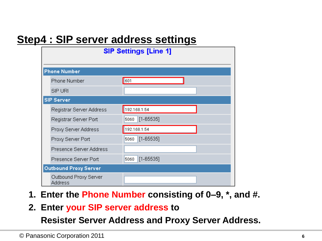## **Step4 : SIP server address settings**

| <b>SIP Settings [Line 1]</b>     |                       |  |  |  |
|----------------------------------|-----------------------|--|--|--|
|                                  |                       |  |  |  |
| <b>Phone Number</b>              |                       |  |  |  |
| Phone Number                     | $\vert$ 601           |  |  |  |
| SIP URI                          |                       |  |  |  |
| <b>SIP Server</b>                |                       |  |  |  |
| Registrar Server Address         | 192.168.1.54          |  |  |  |
| Registrar Server Port            | $[1 - 65535]$<br>5060 |  |  |  |
| Proxy Server Address             | 192.168.1.54          |  |  |  |
| Proxy Server Port                | $[1 - 65535]$<br>5060 |  |  |  |
| Presence Server Address          |                       |  |  |  |
| Presence Server Port             | $[1 - 65535]$<br>5060 |  |  |  |
| <b>Outbound Proxy Server</b>     |                       |  |  |  |
| Outbound Proxy Server<br>Address |                       |  |  |  |

- **1. Enter the Phone Number consisting of 0–9, \*, and #.**
- **2. Enter your SIP server address to**

 **Resister Server Address and Proxy Server Address.**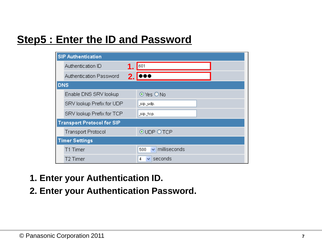## **Step5 : Enter the ID and Password**

|            | <b>SIP Authentication</b>         |       |                           |
|------------|-----------------------------------|-------|---------------------------|
|            | Authentication ID                 |       | 601                       |
|            | Authentication Password           | 2. IS |                           |
| <b>DNS</b> |                                   |       |                           |
|            | Enable DNS SRV lookup             |       | $\odot$ Yes $\bigcirc$ No |
|            | SRV lookup Prefix for UDP         |       | _sip._udp.                |
|            | SRV lookup Prefix for TCP         |       | _sip._top.                |
|            | <b>Transport Protocol for SIP</b> |       |                           |
|            | <b>Transport Protocol</b>         |       | <b>⊙UDP OTCP</b>          |
|            | <b>Timer Settings</b>             |       |                           |
|            | T1 Timer                          |       | milliseconds<br>500<br>v  |
|            | T2 Timer                          |       | seconds<br>4              |

- **1. Enter your Authentication ID.**
- **2. Enter your Authentication Password.**